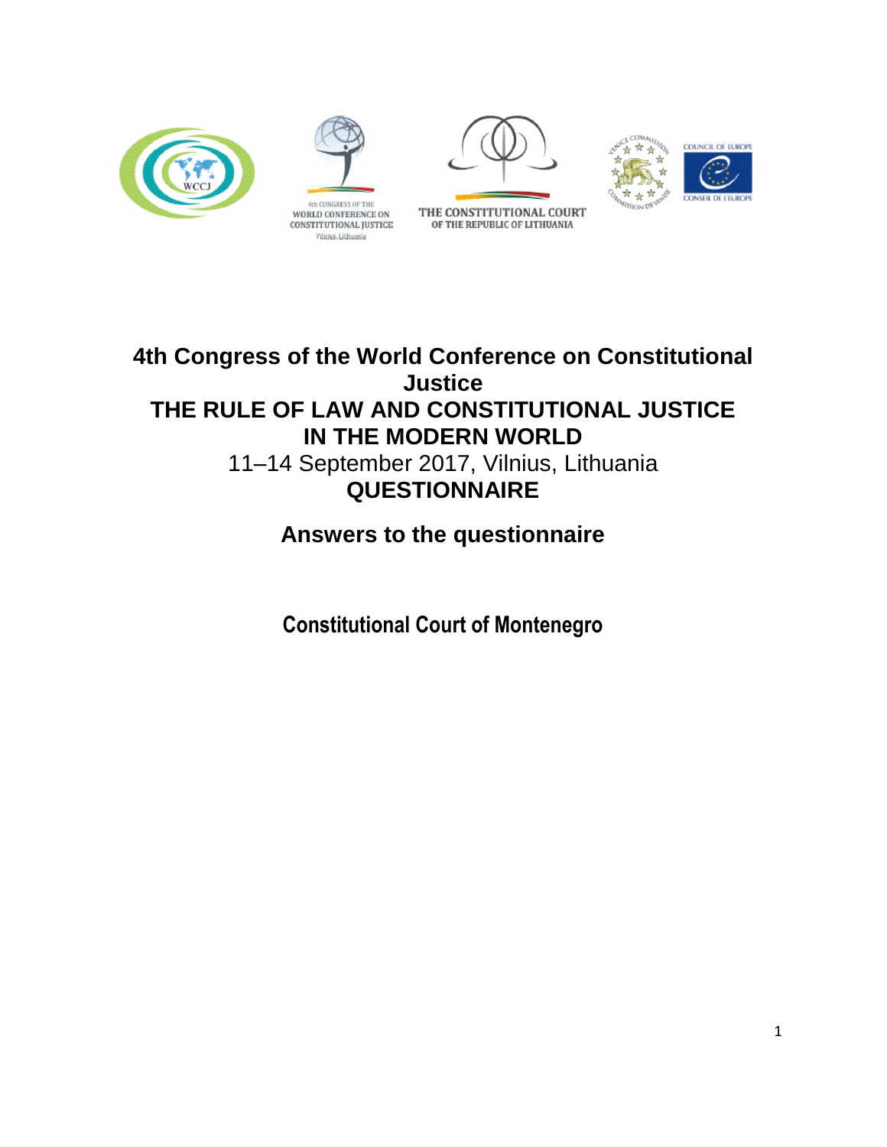





THE CONSTITUTIONAL COURT

OF THE REPUBLIC OF LITHUANIA



## **4th Congress of the World Conference on Constitutional Justice THE RULE OF LAW AND CONSTITUTIONAL JUSTICE IN THE MODERN WORLD** 11–14 September 2017, Vilnius, Lithuania **QUESTIONNAIRE**

# **Answers to the questionnaire**

**Constitutional Court of Montenegro**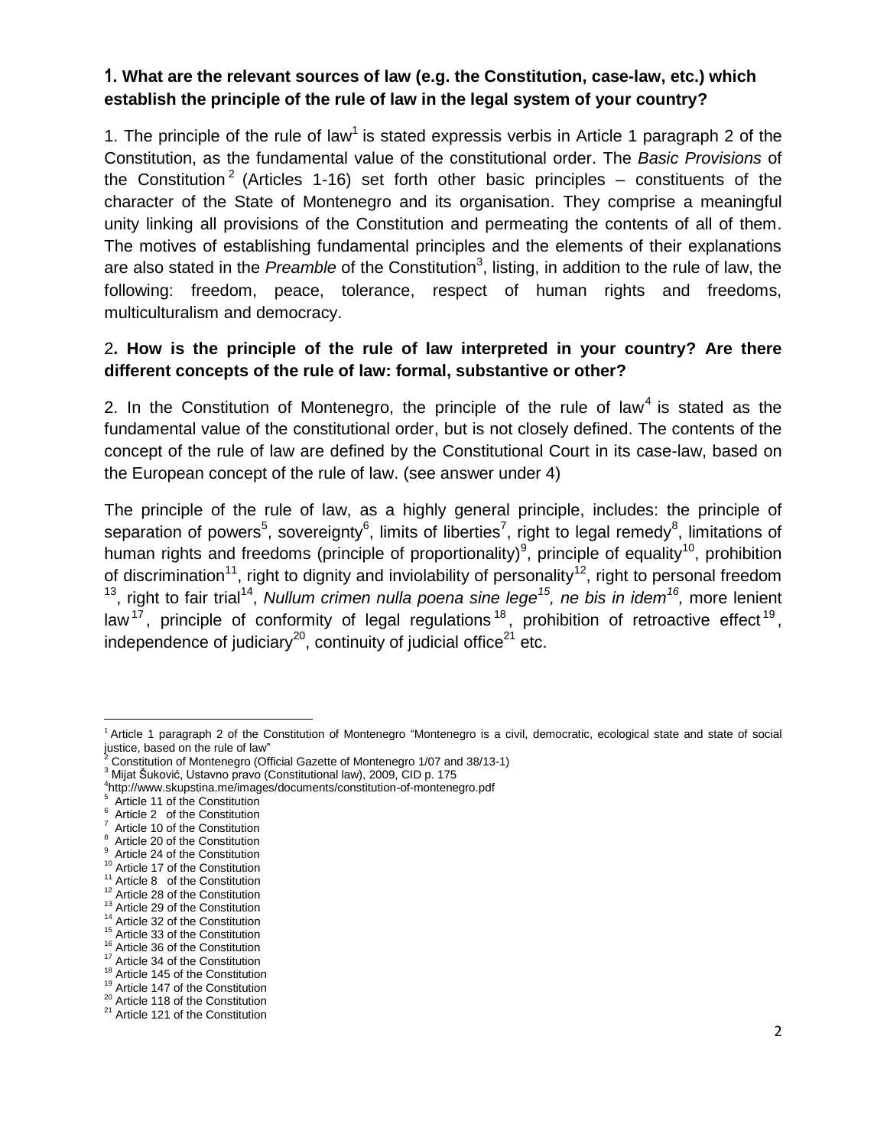## **1. What are the relevant sources of law (e.g. the Constitution, case-law, etc.) which establish the principle of the rule of law in the legal system of your country?**

1. The principle of the rule of law<sup>1</sup> is stated expressis verbis in Article 1 paragraph 2 of the Constitution, as the fundamental value of the constitutional order. The *Basic Provisions* of the Constitution<sup>2</sup> (Articles 1-16) set forth other basic principles – constituents of the character of the State of Montenegro and its organisation. They comprise a meaningful unity linking all provisions of the Constitution and permeating the contents of all of them. The motives of establishing fundamental principles and the elements of their explanations are also stated in the *Preamble* of the Constitution<sup>3</sup>, listing, in addition to the rule of law, the following: freedom, peace, tolerance, respect of human rights and freedoms, multiculturalism and democracy.

## 2**. How is the principle of the rule of law interpreted in your country? Are there different concepts of the rule of law: formal, substantive or other?**

2. In the Constitution of Montenegro, the principle of the rule of law<sup>4</sup> is stated as the fundamental value of the constitutional order, but is not closely defined. The contents of the concept of the rule of law are defined by the Constitutional Court in its case-law, based on the European concept of the rule of law. (see answer under 4)

The principle of the rule of law, as a highly general principle, includes: the principle of separation of powers<sup>5</sup>, sovereignty<sup>6</sup>, limits of liberties<sup>7</sup>, right to legal remedy<sup>8</sup>, limitations of human rights and freedoms (principle of proportionality)<sup>9</sup>, principle of equality<sup>10</sup>, prohibition of discrimination<sup>11</sup>, right to dignity and inviolability of personality<sup>12</sup>, right to personal freedom <sup>13</sup>, right to fair trial<sup>14</sup>, Nullum crimen nulla poena sine lege<sup>15</sup>, ne bis in idem<sup>16</sup>, more lenient law<sup>17</sup>, principle of conformity of legal regulations<sup>18</sup>, prohibition of retroactive effect<sup>19</sup>, independence of judiciary<sup>20</sup>, continuity of judicial office<sup>21</sup> etc.

l

<sup>1</sup> Article 1 paragraph 2 of the Constitution of Montenegro "Montenegro is a civil, democratic, ecological state and state of social justice, based on the rule of law"

<sup>2</sup> Constitution of Montenegro (Official Gazette of Montenegro 1/07 and 38/13-1)

<sup>&</sup>lt;sup>3</sup> Mijat Šuković, Ustavno pravo (Constitutional law), 2009, CID p. 175

<sup>4</sup> http://www.skupstina.me/images/documents/constitution-of-montenegro.pdf

Article 11 of the Constitution

Article 2 of the Constitution

Article 10 of the Constitution

Article 20 of the Constitution

Article 24 of the Constitution

<sup>&</sup>lt;sup>10</sup> Article 17 of the Constitution

<sup>&</sup>lt;sup>11</sup> Article 8 of the Constitution

<sup>&</sup>lt;sup>12</sup> Article 28 of the Constitution

<sup>&</sup>lt;sup>13</sup> Article 29 of the Constitution

<sup>&</sup>lt;sup>14</sup> Article 32 of the Constitution <sup>15</sup> Article 33 of the Constitution

<sup>&</sup>lt;sup>16</sup> Article 36 of the Constitution

<sup>&</sup>lt;sup>17</sup> Article 34 of the Constitution

<sup>&</sup>lt;sup>18</sup> Article 145 of the Constitution

<sup>&</sup>lt;sup>19</sup> Article 147 of the Constitution

<sup>&</sup>lt;sup>20</sup> Article 118 of the Constitution

<sup>&</sup>lt;sup>21</sup> Article 121 of the Constitution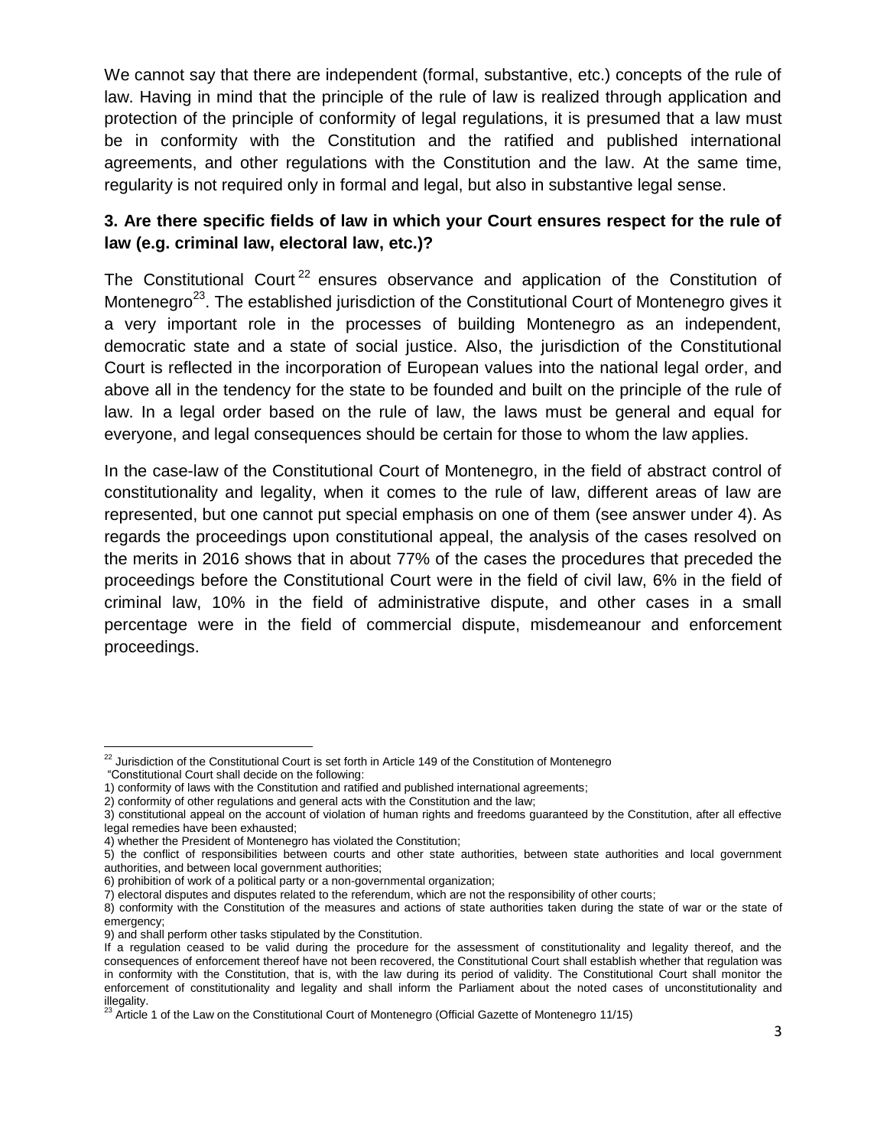We cannot say that there are independent (formal, substantive, etc.) concepts of the rule of law. Having in mind that the principle of the rule of law is realized through application and protection of the principle of conformity of legal regulations, it is presumed that a law must be in conformity with the Constitution and the ratified and published international agreements, and other regulations with the Constitution and the law. At the same time, regularity is not required only in formal and legal, but also in substantive legal sense.

## **3. Are there specific fields of law in which your Court ensures respect for the rule of law (e.g. criminal law, electoral law, etc.)?**

The Constitutional Court<sup>22</sup> ensures observance and application of the Constitution of Montenegro<sup>23</sup>. The established jurisdiction of the Constitutional Court of Montenegro gives it a very important role in the processes of building Montenegro as an independent, democratic state and a state of social justice. Also, the jurisdiction of the Constitutional Court is reflected in the incorporation of European values into the national legal order, and above all in the tendency for the state to be founded and built on the principle of the rule of law. In a legal order based on the rule of law, the laws must be general and equal for everyone, and legal consequences should be certain for those to whom the law applies.

In the case-law of the Constitutional Court of Montenegro, in the field of abstract control of constitutionality and legality, when it comes to the rule of law, different areas of law are represented, but one cannot put special emphasis on one of them (see answer under 4). As regards the proceedings upon constitutional appeal, the analysis of the cases resolved on the merits in 2016 shows that in about 77% of the cases the procedures that preceded the proceedings before the Constitutional Court were in the field of civil law, 6% in the field of criminal law, 10% in the field of administrative dispute, and other cases in a small percentage were in the field of commercial dispute, misdemeanour and enforcement proceedings.

 $\overline{\phantom{a}}$ <sup>22</sup> Jurisdiction of the Constitutional Court is set forth in Article 149 of the Constitution of Montenegro

<sup>&</sup>quot;Constitutional Court shall decide on the following:

<sup>1)</sup> conformity of laws with the Constitution and ratified and published international agreements;

<sup>2)</sup> conformity of other regulations and general acts with the Constitution and the law;

<sup>3)</sup> constitutional appeal on the account of violation of human rights and freedoms guaranteed by the Constitution, after all effective legal remedies have been exhausted;

<sup>4)</sup> whether the President of Montenegro has violated the Constitution;

<sup>5)</sup> the conflict of responsibilities between courts and other state authorities, between state authorities and local government authorities, and between local government authorities;

<sup>6)</sup> prohibition of work of a political party or a non-governmental organization;

<sup>7)</sup> electoral disputes and disputes related to the referendum, which are not the responsibility of other courts;

<sup>8)</sup> conformity with the Constitution of the measures and actions of state authorities taken during the state of war or the state of emergency;

<sup>9)</sup> and shall perform other tasks stipulated by the Constitution.

If a regulation ceased to be valid during the procedure for the assessment of constitutionality and legality thereof, and the consequences of enforcement thereof have not been recovered, the Constitutional Court shall establish whether that regulation was in conformity with the Constitution, that is, with the law during its period of validity. The Constitutional Court shall monitor the enforcement of constitutionality and legality and shall inform the Parliament about the noted cases of unconstitutionality and illegality.

<sup>23</sup> Article 1 of the Law on the Constitutional Court of Montenegro (Official Gazette of Montenegro 11/15)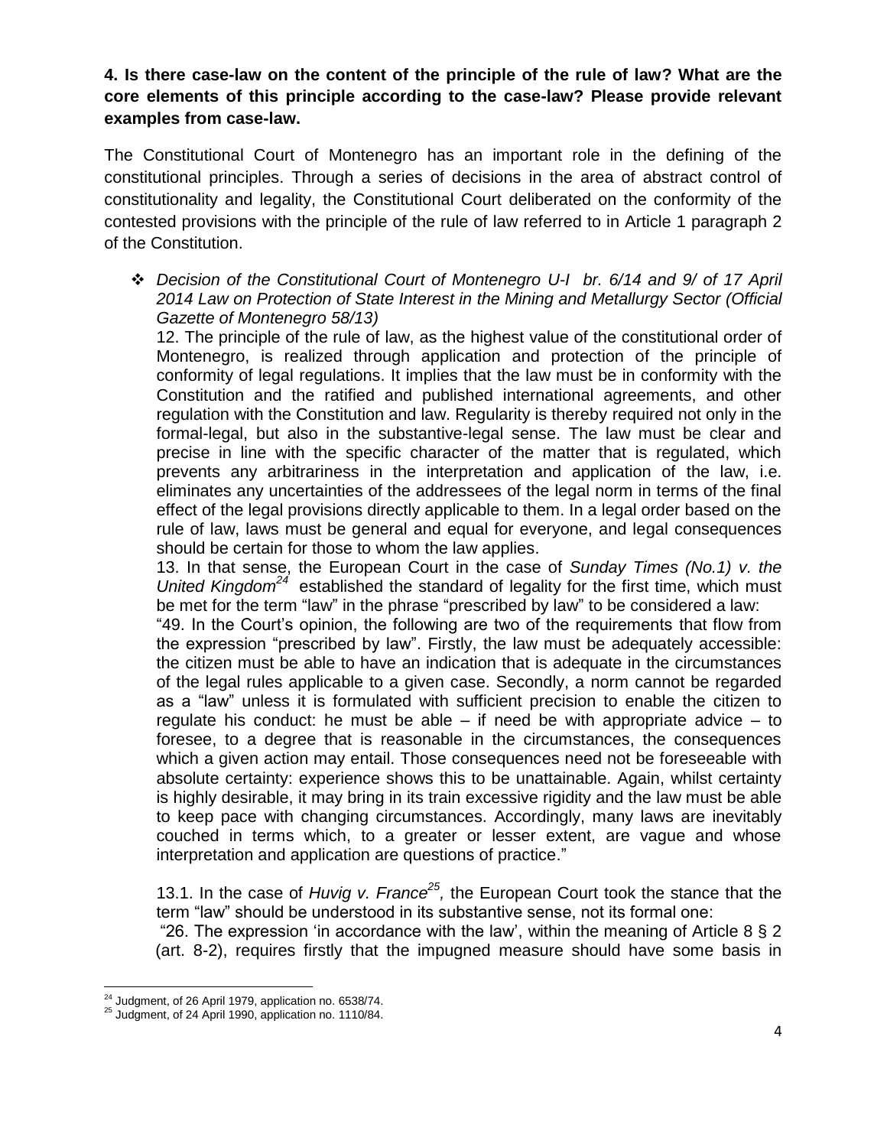**4. Is there case-law on the content of the principle of the rule of law? What are the core elements of this principle according to the case-law? Please provide relevant examples from case-law.**

The Constitutional Court of Montenegro has an important role in the defining of the constitutional principles. Through a series of decisions in the area of abstract control of constitutionality and legality, the Constitutional Court deliberated on the conformity of the contested provisions with the principle of the rule of law referred to in Article 1 paragraph 2 of the Constitution.

 *Decision of the Constitutional Court of Montenegro U-I br. 6/14 and 9/ of 17 April 2014 Law on Protection of State Interest in the Mining and Metallurgy Sector (Official Gazette of Montenegro 58/13)* 

12. The principle of the rule of law, as the highest value of the constitutional order of Montenegro, is realized through application and protection of the principle of conformity of legal regulations. It implies that the law must be in conformity with the Constitution and the ratified and published international agreements, and other regulation with the Constitution and law. Regularity is thereby required not only in the formal-legal, but also in the substantive-legal sense. The law must be clear and precise in line with the specific character of the matter that is regulated, which prevents any arbitrariness in the interpretation and application of the law, i.e. eliminates any uncertainties of the addressees of the legal norm in terms of the final effect of the legal provisions directly applicable to them. In a legal order based on the rule of law, laws must be general and equal for everyone, and legal consequences should be certain for those to whom the law applies.

13. In that sense, the European Court in the case of *Sunday Times (No.1) v. the United Kingdom<sup>24</sup>* established the standard of legality for the first time, which must be met for the term "law" in the phrase "prescribed by law" to be considered a law:

"49. In the Court"s opinion, the following are two of the requirements that flow from the expression "prescribed by law". Firstly, the law must be adequately accessible: the citizen must be able to have an indication that is adequate in the circumstances of the legal rules applicable to a given case. Secondly, a norm cannot be regarded as a "law" unless it is formulated with sufficient precision to enable the citizen to regulate his conduct: he must be able  $-$  if need be with appropriate advice  $-$  to foresee, to a degree that is reasonable in the circumstances, the consequences which a given action may entail. Those consequences need not be foreseeable with absolute certainty: experience shows this to be unattainable. Again, whilst certainty is highly desirable, it may bring in its train excessive rigidity and the law must be able to keep pace with changing circumstances. Accordingly, many laws are inevitably couched in terms which, to a greater or lesser extent, are vague and whose interpretation and application are questions of practice."

13.1. In the case of *Huvig v. France*<sup>25</sup>, the European Court took the stance that the term "law" should be understood in its substantive sense, not its formal one:

"26. The expression 'in accordance with the law', within the meaning of Article  $8 \le 2$ (art. 8-2), requires firstly that the impugned measure should have some basis in

 $\overline{\phantom{a}}$  $24$  Judgment, of 26 April 1979, application no. 6538/74.

 $^{25}$  Judgment, of 24 April 1990, application no. 1110/84.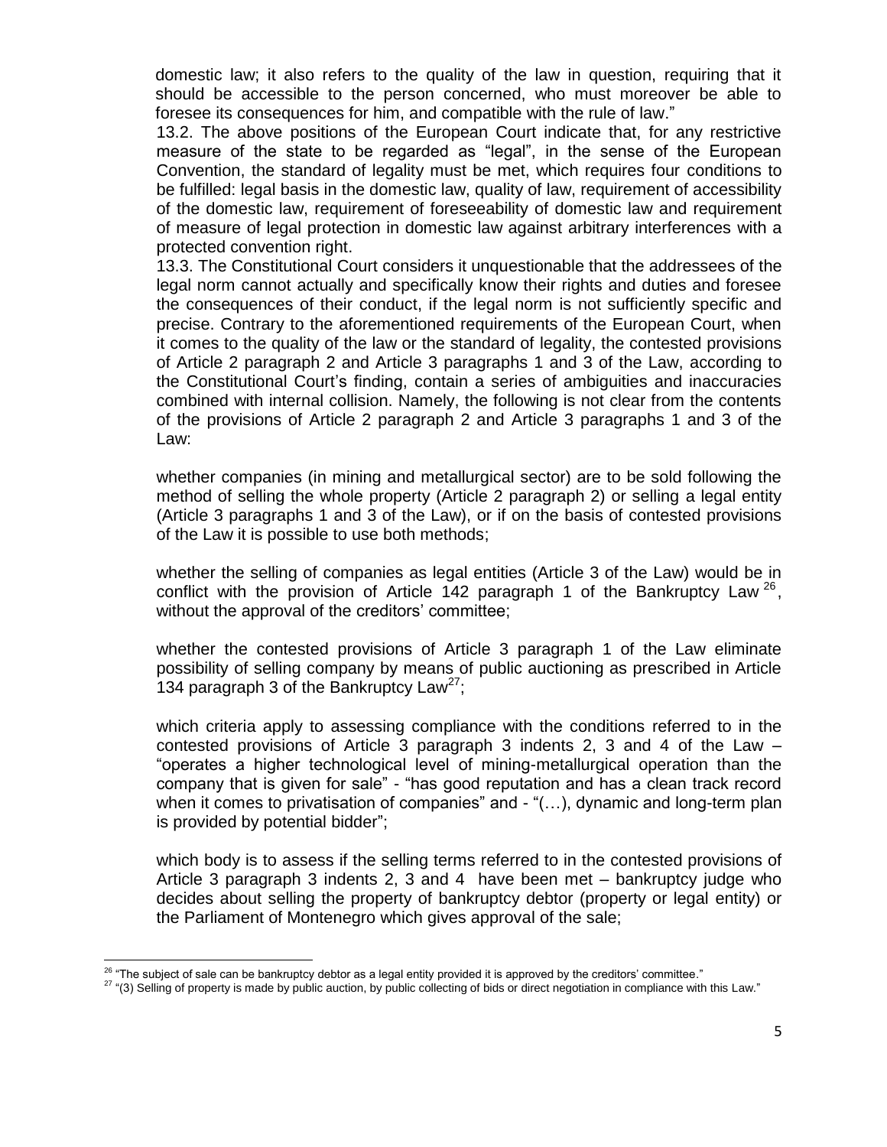domestic law; it also refers to the quality of the law in question, requiring that it should be accessible to the person concerned, who must moreover be able to foresee its consequences for him, and compatible with the rule of law."

13.2. The above positions of the European Court indicate that, for any restrictive measure of the state to be regarded as "legal", in the sense of the European Convention, the standard of legality must be met, which requires four conditions to be fulfilled: legal basis in the domestic law, quality of law, requirement of accessibility of the domestic law, requirement of foreseeability of domestic law and requirement of measure of legal protection in domestic law against arbitrary interferences with a protected convention right.

13.3. The Constitutional Court considers it unquestionable that the addressees of the legal norm cannot actually and specifically know their rights and duties and foresee the consequences of their conduct, if the legal norm is not sufficiently specific and precise. Contrary to the aforementioned requirements of the European Court, when it comes to the quality of the law or the standard of legality, the contested provisions of Article 2 paragraph 2 and Article 3 paragraphs 1 and 3 of the Law, according to the Constitutional Court"s finding, contain a series of ambiguities and inaccuracies combined with internal collision. Namely, the following is not clear from the contents of the provisions of Article 2 paragraph 2 and Article 3 paragraphs 1 and 3 of the Law:

whether companies (in mining and metallurgical sector) are to be sold following the method of selling the whole property (Article 2 paragraph 2) or selling a legal entity (Article 3 paragraphs 1 and 3 of the Law), or if on the basis of contested provisions of the Law it is possible to use both methods;

whether the selling of companies as legal entities (Article 3 of the Law) would be in conflict with the provision of Article 142 paragraph 1 of the Bankruptcy Law  $^{26}$ , without the approval of the creditors' committee;

whether the contested provisions of Article 3 paragraph 1 of the Law eliminate possibility of selling company by means of public auctioning as prescribed in Article 134 paragraph 3 of the Bankruptcy Law<sup>27</sup>;

which criteria apply to assessing compliance with the conditions referred to in the contested provisions of Article 3 paragraph 3 indents 2, 3 and 4 of the Law – "operates a higher technological level of mining-metallurgical operation than the company that is given for sale" - "has good reputation and has a clean track record when it comes to privatisation of companies" and - "(...), dynamic and long-term plan is provided by potential bidder";

which body is to assess if the selling terms referred to in the contested provisions of Article 3 paragraph 3 indents 2, 3 and 4 have been met – bankruptcy judge who decides about selling the property of bankruptcy debtor (property or legal entity) or the Parliament of Montenegro which gives approval of the sale;

 26 "The subject of sale can be bankruptcy debtor as a legal entity provided it is approved by the creditors" committee."

<sup>&</sup>lt;sup>27</sup> "(3) Selling of property is made by public auction, by public collecting of bids or direct negotiation in compliance with this Law."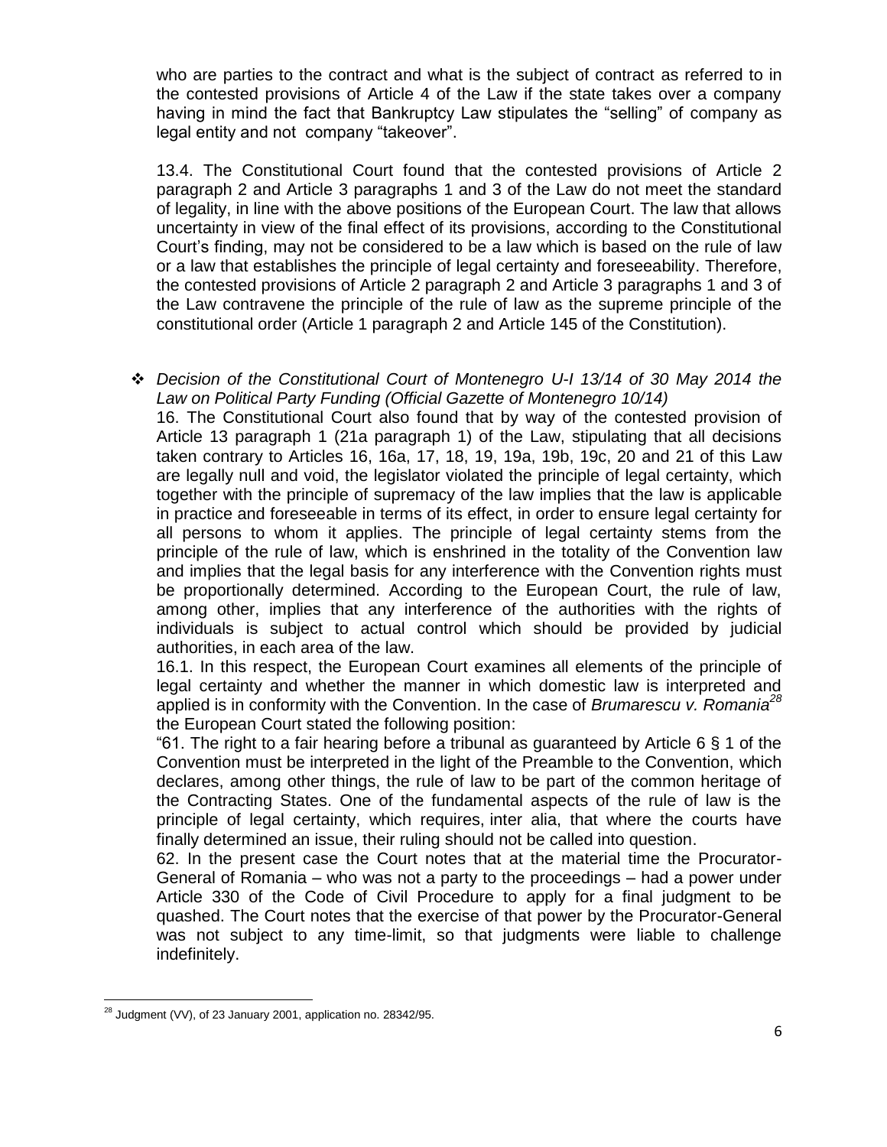who are parties to the contract and what is the subject of contract as referred to in the contested provisions of Article 4 of the Law if the state takes over a company having in mind the fact that Bankruptcy Law stipulates the "selling" of company as legal entity and not company "takeover".

13.4. The Constitutional Court found that the contested provisions of Article 2 paragraph 2 and Article 3 paragraphs 1 and 3 of the Law do not meet the standard of legality, in line with the above positions of the European Court. The law that allows uncertainty in view of the final effect of its provisions, according to the Constitutional Court"s finding, may not be considered to be a law which is based on the rule of law or a law that establishes the principle of legal certainty and foreseeability. Therefore, the contested provisions of Article 2 paragraph 2 and Article 3 paragraphs 1 and 3 of the Law contravene the principle of the rule of law as the supreme principle of the constitutional order (Article 1 paragraph 2 and Article 145 of the Constitution).

 *Decision of the Constitutional Court of Montenegro U-I 13/14 of 30 May 2014 the Law on Political Party Funding (Official Gazette of Montenegro 10/14)* 16. The Constitutional Court also found that by way of the contested provision of Article 13 paragraph 1 (21a paragraph 1) of the Law, stipulating that all decisions taken contrary to Articles 16, 16a, 17, 18, 19, 19a, 19b, 19c, 20 and 21 of this Law are legally null and void, the legislator violated the principle of legal certainty, which

together with the principle of supremacy of the law implies that the law is applicable in practice and foreseeable in terms of its effect, in order to ensure legal certainty for all persons to whom it applies. The principle of legal certainty stems from the principle of the rule of law, which is enshrined in the totality of the Convention law and implies that the legal basis for any interference with the Convention rights must be proportionally determined. According to the European Court, the rule of law, among other, implies that any interference of the authorities with the rights of individuals is subject to actual control which should be provided by judicial authorities, in each area of the law.

16.1. In this respect, the European Court examines all elements of the principle of legal certainty and whether the manner in which domestic law is interpreted and applied is in conformity with the Convention. In the case of *Brumarescu v. Romania 28* the European Court stated the following position:

"61. The right to a fair hearing before a tribunal as guaranteed by Article  $6 \leq 1$  of the Convention must be interpreted in the light of the Preamble to the Convention, which declares, among other things, the rule of law to be part of the common heritage of the Contracting States. One of the fundamental aspects of the rule of law is the principle of legal certainty, which requires, inter alia, that where the courts have finally determined an issue, their ruling should not be called into question.

62. In the present case the Court notes that at the material time the Procurator-General of Romania – who was not a party to the proceedings – had a power under Article 330 of the Code of Civil Procedure to apply for a final judgment to be quashed. The Court notes that the exercise of that power by the Procurator-General was not subject to any time-limit, so that judgments were liable to challenge indefinitely.

 $\overline{\phantom{a}}$ 

 $^{28}$  Judgment (VV), of 23 January 2001, application no. 28342/95.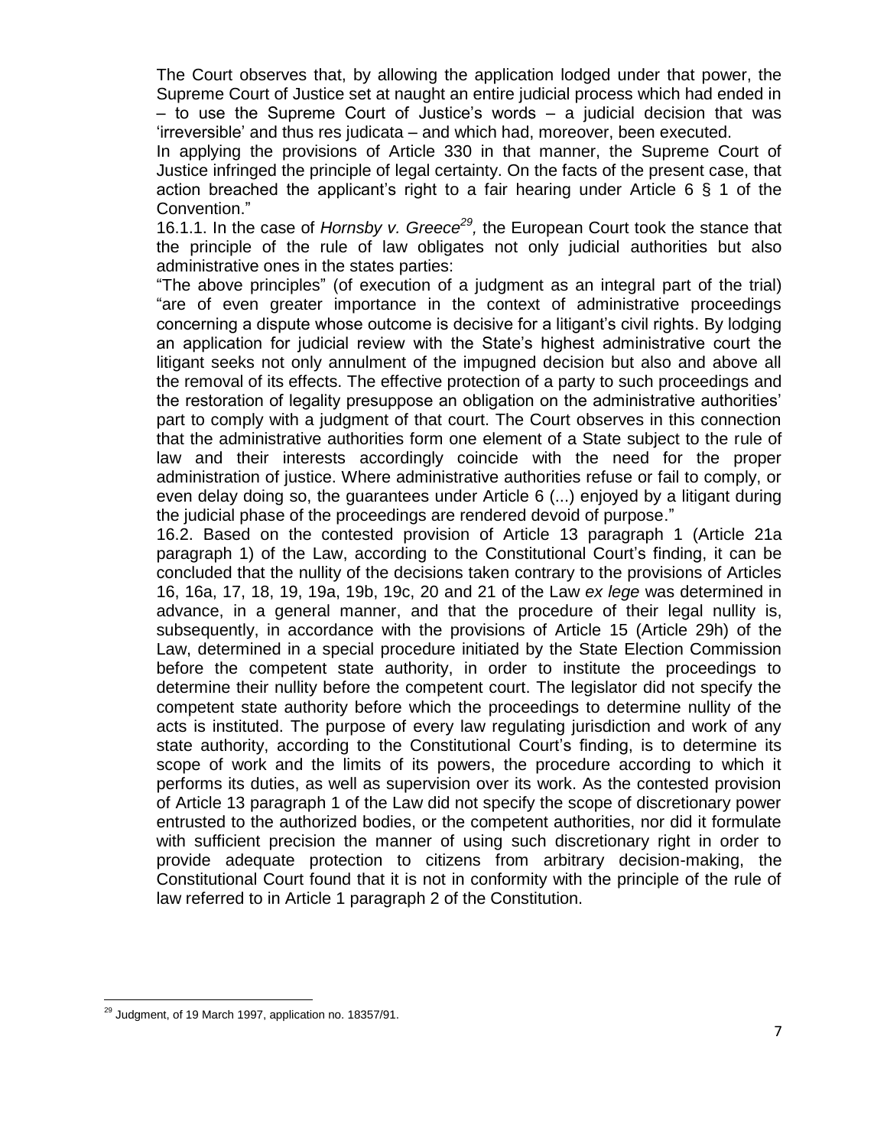The Court observes that, by allowing the application lodged under that power, the Supreme Court of Justice set at naught an entire judicial process which had ended in – to use the Supreme Court of Justice"s words – a judicial decision that was "irreversible" and thus res judicata – and which had, moreover, been executed.

In applying the provisions of Article 330 in that manner, the Supreme Court of Justice infringed the principle of legal certainty. On the facts of the present case, that action breached the applicant's right to a fair hearing under Article 6  $\S$  1 of the Convention."

16.1.1. In the case of *Hornsby v. Greece<sup>29</sup>*, the European Court took the stance that the principle of the rule of law obligates not only judicial authorities but also administrative ones in the states parties:

"The above principles" (of execution of a judgment as an integral part of the trial) "are of even greater importance in the context of administrative proceedings concerning a dispute whose outcome is decisive for a litigant"s civil rights. By lodging an application for judicial review with the State"s highest administrative court the litigant seeks not only annulment of the impugned decision but also and above all the removal of its effects. The effective protection of a party to such proceedings and the restoration of legality presuppose an obligation on the administrative authorities" part to comply with a judgment of that court. The Court observes in this connection that the administrative authorities form one element of a State subject to the rule of law and their interests accordingly coincide with the need for the proper administration of justice. Where administrative authorities refuse or fail to comply, or even delay doing so, the guarantees under Article 6 (...) enjoyed by a litigant during the judicial phase of the proceedings are rendered devoid of purpose."

16.2. Based on the contested provision of Article 13 paragraph 1 (Article 21a paragraph 1) of the Law, according to the Constitutional Court"s finding, it can be concluded that the nullity of the decisions taken contrary to the provisions of Articles 16, 16a, 17, 18, 19, 19a, 19b, 19c, 20 and 21 of the Law *ex lege* was determined in advance, in a general manner, and that the procedure of their legal nullity is, subsequently, in accordance with the provisions of Article 15 (Article 29h) of the Law, determined in a special procedure initiated by the State Election Commission before the competent state authority, in order to institute the proceedings to determine their nullity before the competent court. The legislator did not specify the competent state authority before which the proceedings to determine nullity of the acts is instituted. The purpose of every law regulating jurisdiction and work of any state authority, according to the Constitutional Court"s finding, is to determine its scope of work and the limits of its powers, the procedure according to which it performs its duties, as well as supervision over its work. As the contested provision of Article 13 paragraph 1 of the Law did not specify the scope of discretionary power entrusted to the authorized bodies, or the competent authorities, nor did it formulate with sufficient precision the manner of using such discretionary right in order to provide adequate protection to citizens from arbitrary decision-making, the Constitutional Court found that it is not in conformity with the principle of the rule of law referred to in Article 1 paragraph 2 of the Constitution.

 $\overline{\phantom{a}}$ 

 $^{29}$  Judgment, of 19 March 1997, application no. 18357/91.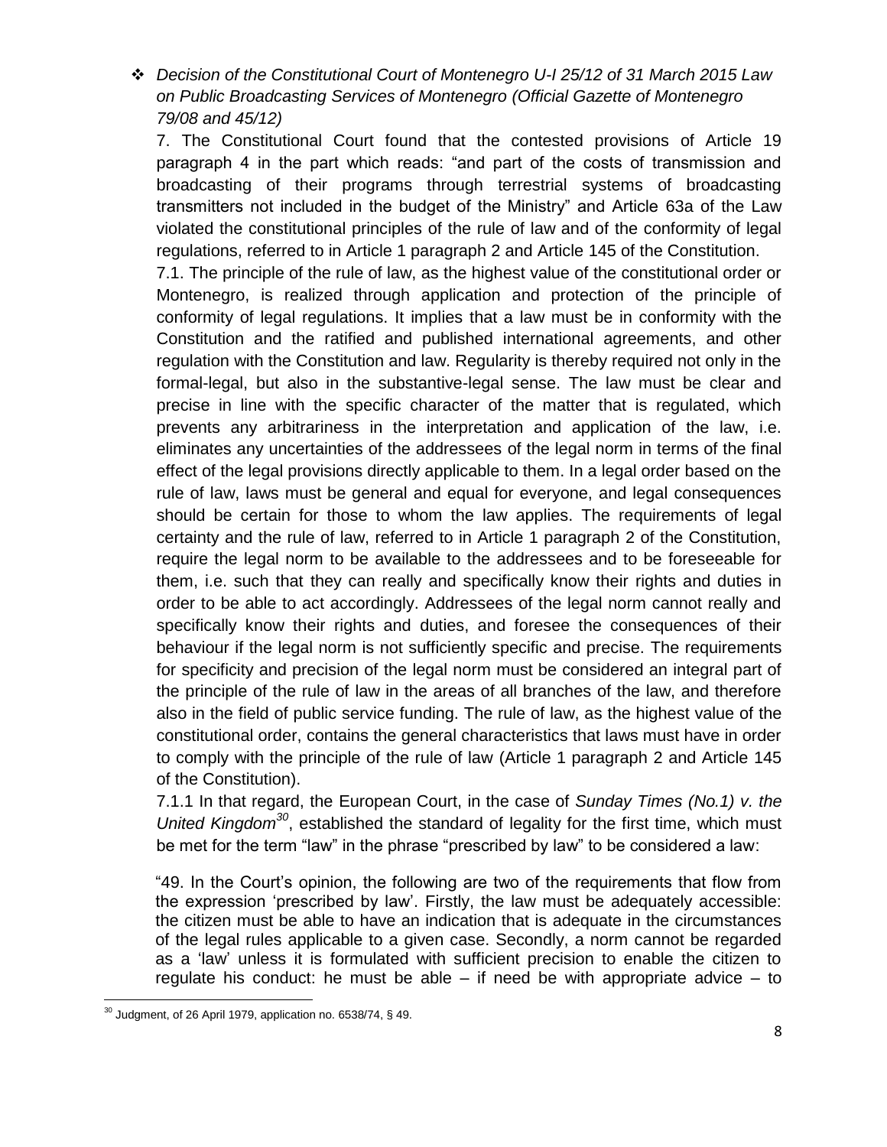*Decision of the Constitutional Court of Montenegro U-I 25/12 of 31 March 2015 Law on Public Broadcasting Services of Montenegro (Official Gazette of Montenegro 79/08 and 45/12)*

7. The Constitutional Court found that the contested provisions of Article 19 paragraph 4 in the part which reads: "and part of the costs of transmission and broadcasting of their programs through terrestrial systems of broadcasting transmitters not included in the budget of the Ministry" and Article 63a of the Law violated the constitutional principles of the rule of law and of the conformity of legal regulations, referred to in Article 1 paragraph 2 and Article 145 of the Constitution.

7.1. The principle of the rule of law, as the highest value of the constitutional order or Montenegro, is realized through application and protection of the principle of conformity of legal regulations. It implies that a law must be in conformity with the Constitution and the ratified and published international agreements, and other regulation with the Constitution and law. Regularity is thereby required not only in the formal-legal, but also in the substantive-legal sense. The law must be clear and precise in line with the specific character of the matter that is regulated, which prevents any arbitrariness in the interpretation and application of the law, i.e. eliminates any uncertainties of the addressees of the legal norm in terms of the final effect of the legal provisions directly applicable to them. In a legal order based on the rule of law, laws must be general and equal for everyone, and legal consequences should be certain for those to whom the law applies. The requirements of legal certainty and the rule of law, referred to in Article 1 paragraph 2 of the Constitution, require the legal norm to be available to the addressees and to be foreseeable for them, i.e. such that they can really and specifically know their rights and duties in order to be able to act accordingly. Addressees of the legal norm cannot really and specifically know their rights and duties, and foresee the consequences of their behaviour if the legal norm is not sufficiently specific and precise. The requirements for specificity and precision of the legal norm must be considered an integral part of the principle of the rule of law in the areas of all branches of the law, and therefore also in the field of public service funding. The rule of law, as the highest value of the constitutional order, contains the general characteristics that laws must have in order to comply with the principle of the rule of law (Article 1 paragraph 2 and Article 145 of the Constitution).

7.1.1 In that regard, the European Court, in the case of *Sunday Times (No.1) v. the United Kingdom<sup>30</sup>* , established the standard of legality for the first time, which must be met for the term "law" in the phrase "prescribed by law" to be considered a law:

"49. In the Court's opinion, the following are two of the requirements that flow from the expression "prescribed by law". Firstly, the law must be adequately accessible: the citizen must be able to have an indication that is adequate in the circumstances of the legal rules applicable to a given case. Secondly, a norm cannot be regarded as a "law" unless it is formulated with sufficient precision to enable the citizen to requiate his conduct: he must be able  $-$  if need be with appropriate advice  $-$  to

 $\overline{\phantom{a}}$  $30$  Judgment, of 26 April 1979, application no. 6538/74, § 49.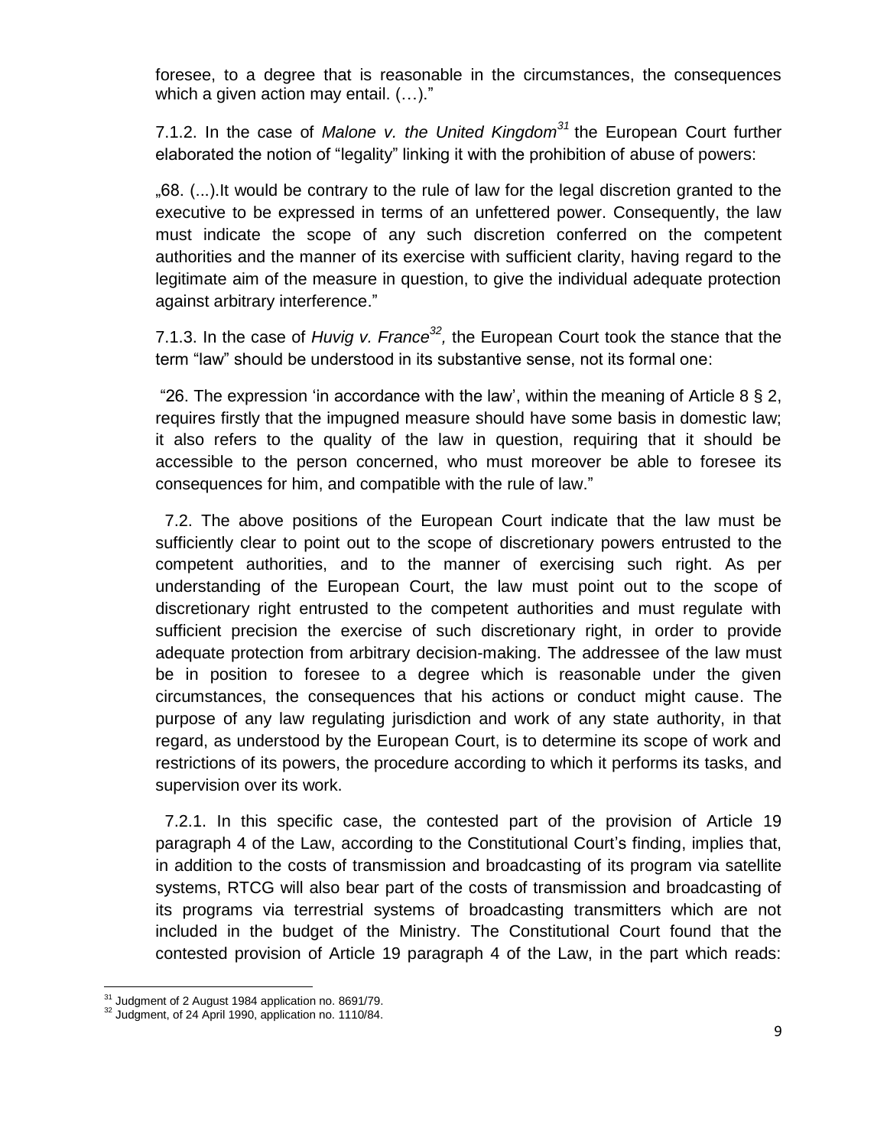foresee, to a degree that is reasonable in the circumstances, the consequences which a given action may entail.  $(...)$ ."

7.1.2. In the case of *Malone v. the United Kingdom<sup>31</sup>* the European Court further elaborated the notion of "legality" linking it with the prohibition of abuse of powers:

"68. (...).It would be contrary to the rule of law for the legal discretion granted to the executive to be expressed in terms of an unfettered power. Consequently, the law must indicate the scope of any such discretion conferred on the competent authorities and the manner of its exercise with sufficient clarity, having regard to the legitimate aim of the measure in question, to give the individual adequate protection against arbitrary interference."

7.1.3. In the case of *Huvig v. France*<sup>32</sup>, the European Court took the stance that the term "law" should be understood in its substantive sense, not its formal one:

"26. The expression 'in accordance with the law', within the meaning of Article 8  $\S$  2, requires firstly that the impugned measure should have some basis in domestic law; it also refers to the quality of the law in question, requiring that it should be accessible to the person concerned, who must moreover be able to foresee its consequences for him, and compatible with the rule of law."

 7.2. The above positions of the European Court indicate that the law must be sufficiently clear to point out to the scope of discretionary powers entrusted to the competent authorities, and to the manner of exercising such right. As per understanding of the European Court, the law must point out to the scope of discretionary right entrusted to the competent authorities and must regulate with sufficient precision the exercise of such discretionary right, in order to provide adequate protection from arbitrary decision-making. The addressee of the law must be in position to foresee to a degree which is reasonable under the given circumstances, the consequences that his actions or conduct might cause. The purpose of any law regulating jurisdiction and work of any state authority, in that regard, as understood by the European Court, is to determine its scope of work and restrictions of its powers, the procedure according to which it performs its tasks, and supervision over its work.

7.2.1. In this specific case, the contested part of the provision of Article 19 paragraph 4 of the Law, according to the Constitutional Court"s finding, implies that, in addition to the costs of transmission and broadcasting of its program via satellite systems, RTCG will also bear part of the costs of transmission and broadcasting of its programs via terrestrial systems of broadcasting transmitters which are not included in the budget of the Ministry. The Constitutional Court found that the contested provision of Article 19 paragraph 4 of the Law, in the part which reads:

 $\overline{\phantom{a}}$ <sup>31</sup> Judgment of 2 August 1984 application no. 8691/79.

<sup>&</sup>lt;sup>32</sup> Judgment, of 24 April 1990, application no. 1110/84.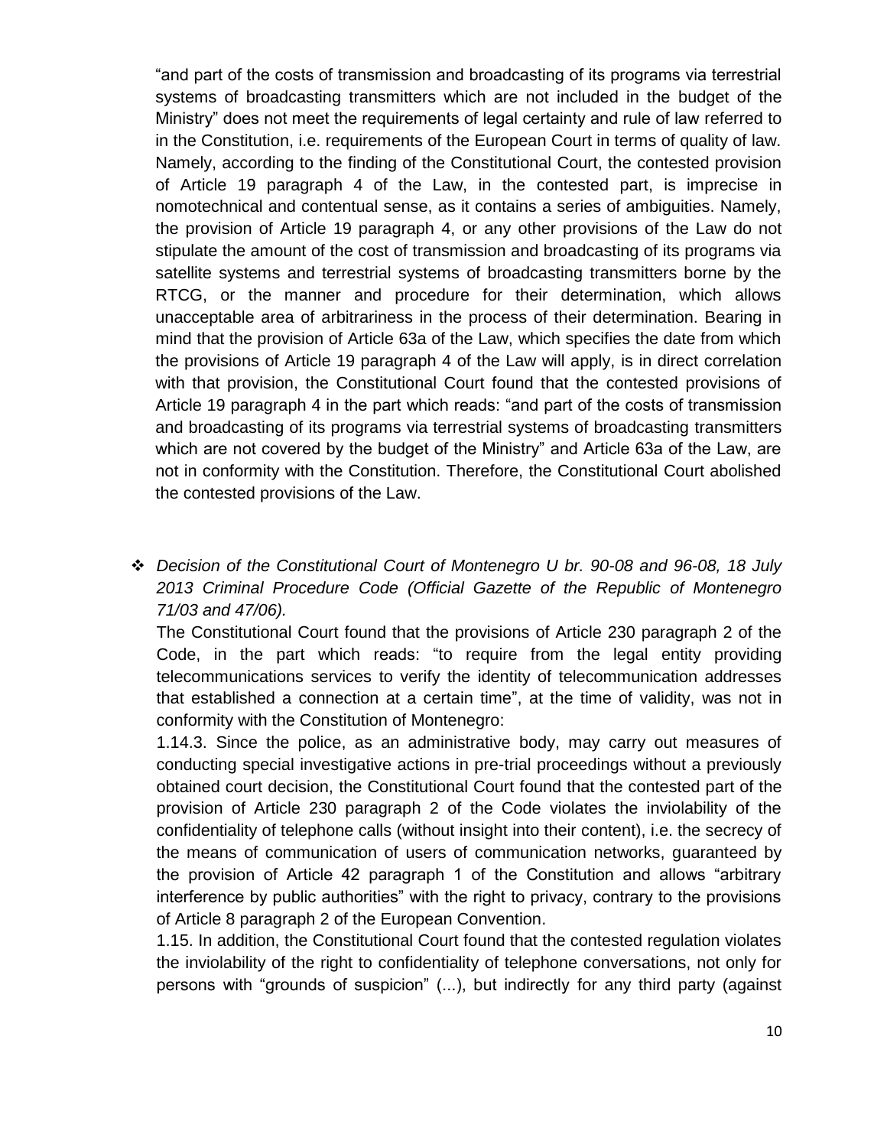"and part of the costs of transmission and broadcasting of its programs via terrestrial systems of broadcasting transmitters which are not included in the budget of the Ministry" does not meet the requirements of legal certainty and rule of law referred to in the Constitution, i.e. requirements of the European Court in terms of quality of law. Namely, according to the finding of the Constitutional Court, the contested provision of Article 19 paragraph 4 of the Law, in the contested part, is imprecise in nomotechnical and contentual sense, as it contains a series of ambiguities. Namely, the provision of Article 19 paragraph 4, or any other provisions of the Law do not stipulate the amount of the cost of transmission and broadcasting of its programs via satellite systems and terrestrial systems of broadcasting transmitters borne by the RTCG, or the manner and procedure for their determination, which allows unacceptable area of arbitrariness in the process of their determination. Bearing in mind that the provision of Article 63a of the Law, which specifies the date from which the provisions of Article 19 paragraph 4 of the Law will apply, is in direct correlation with that provision, the Constitutional Court found that the contested provisions of Article 19 paragraph 4 in the part which reads: "and part of the costs of transmission and broadcasting of its programs via terrestrial systems of broadcasting transmitters which are not covered by the budget of the Ministry" and Article 63a of the Law, are not in conformity with the Constitution. Therefore, the Constitutional Court abolished the contested provisions of the Law.

 *Decision of the Constitutional Court of Montenegro U br. 90-08 and 96-08, 18 July 2013 Criminal Procedure Code (Official Gazette of the Republic of Montenegro 71/03 and 47/06).*

The Constitutional Court found that the provisions of Article 230 paragraph 2 of the Code, in the part which reads: "to require from the legal entity providing telecommunications services to verify the identity of telecommunication addresses that established a connection at a certain time", at the time of validity, was not in conformity with the Constitution of Montenegro:

1.14.3. Since the police, as an administrative body, may carry out measures of conducting special investigative actions in pre-trial proceedings without a previously obtained court decision, the Constitutional Court found that the contested part of the provision of Article 230 paragraph 2 of the Code violates the inviolability of the confidentiality of telephone calls (without insight into their content), i.e. the secrecy of the means of communication of users of communication networks, guaranteed by the provision of Article 42 paragraph 1 of the Constitution and allows "arbitrary interference by public authorities" with the right to privacy, contrary to the provisions of Article 8 paragraph 2 of the European Convention.

1.15. In addition, the Constitutional Court found that the contested regulation violates the inviolability of the right to confidentiality of telephone conversations, not only for persons with "grounds of suspicion" (...), but indirectly for any third party (against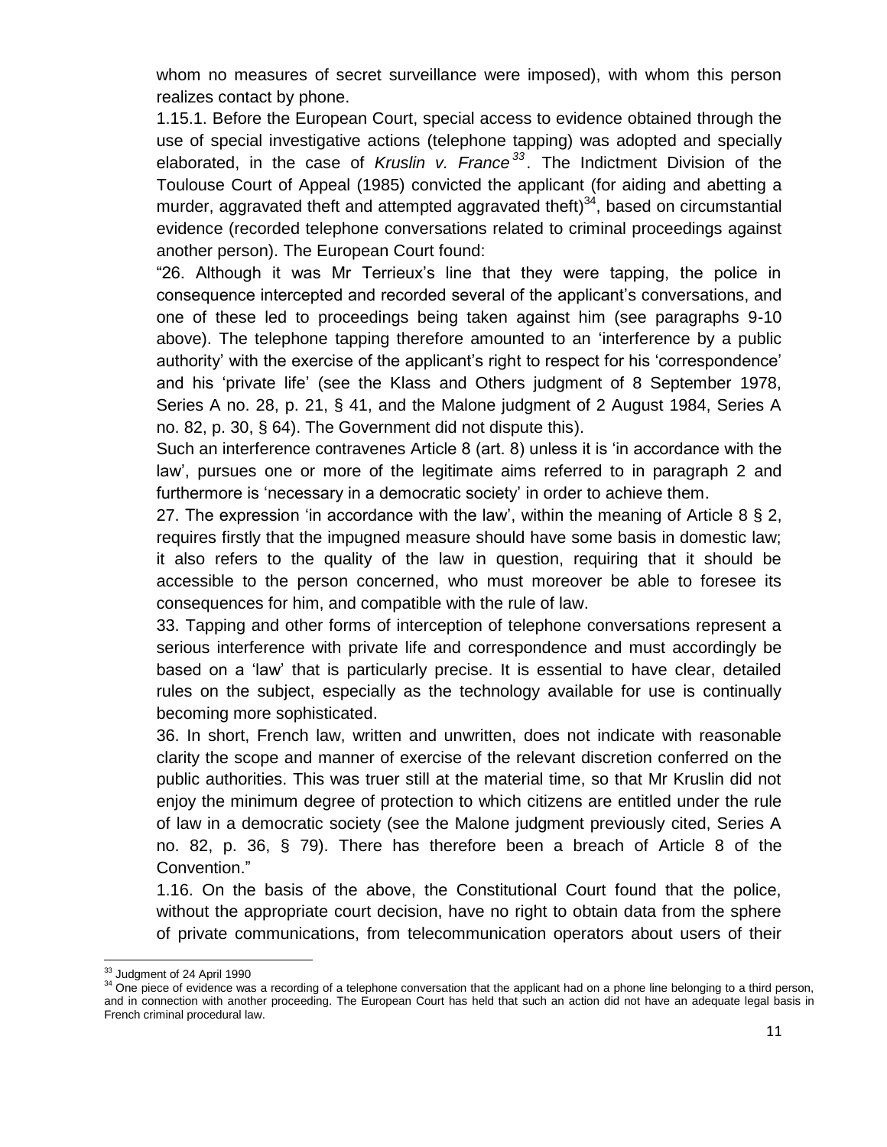whom no measures of secret surveillance were imposed), with whom this person realizes contact by phone.

1.15.1. Before the European Court, special access to evidence obtained through the use of special investigative actions (telephone tapping) was adopted and specially elaborated, in the case of *Kruslin v. France <sup>33</sup> .* The Indictment Division of the Toulouse Court of Appeal (1985) convicted the applicant (for aiding and abetting a murder, aggravated theft and attempted aggravated theft)<sup>34</sup>, based on circumstantial evidence (recorded telephone conversations related to criminal proceedings against another person). The European Court found:

"26. Although it was Mr Terrieux"s line that they were tapping, the police in consequence intercepted and recorded several of the applicant"s conversations, and one of these led to proceedings being taken against him (see paragraphs 9-10 above). The telephone tapping therefore amounted to an "interference by a public authority' with the exercise of the applicant's right to respect for his 'correspondence' and his "private life" (see the Klass and Others judgment of 8 September 1978, Series A no. 28, p. 21, § 41, and the Malone judgment of 2 August 1984, Series A no. 82, p. 30, § 64). The Government did not dispute this).

Such an interference contravenes Article 8 (art. 8) unless it is "in accordance with the law", pursues one or more of the legitimate aims referred to in paragraph 2 and furthermore is 'necessary in a democratic society' in order to achieve them.

27. The expression 'in accordance with the law', within the meaning of Article 8  $\S$  2, requires firstly that the impugned measure should have some basis in domestic law; it also refers to the quality of the law in question, requiring that it should be accessible to the person concerned, who must moreover be able to foresee its consequences for him, and compatible with the rule of law.

33. Tapping and other forms of interception of telephone conversations represent a serious interference with private life and correspondence and must accordingly be based on a "law" that is particularly precise. It is essential to have clear, detailed rules on the subject, especially as the technology available for use is continually becoming more sophisticated.

36. In short, French law, written and unwritten, does not indicate with reasonable clarity the scope and manner of exercise of the relevant discretion conferred on the public authorities. This was truer still at the material time, so that Mr Kruslin did not enjoy the minimum degree of protection to which citizens are entitled under the rule of law in a democratic society (see the Malone judgment previously cited, Series A no. 82, p. 36, § 79). There has therefore been a breach of Article 8 of the Convention."

1.16. On the basis of the above, the Constitutional Court found that the police, without the appropriate court decision, have no right to obtain data from the sphere of private communications, from telecommunication operators about users of their

l <sup>33</sup> Judgment of 24 April 1990

<sup>&</sup>lt;sup>34</sup> One piece of evidence was a recording of a telephone conversation that the applicant had on a phone line belonging to a third person, and in connection with another proceeding. The European Court has held that such an action did not have an adequate legal basis in French criminal procedural law.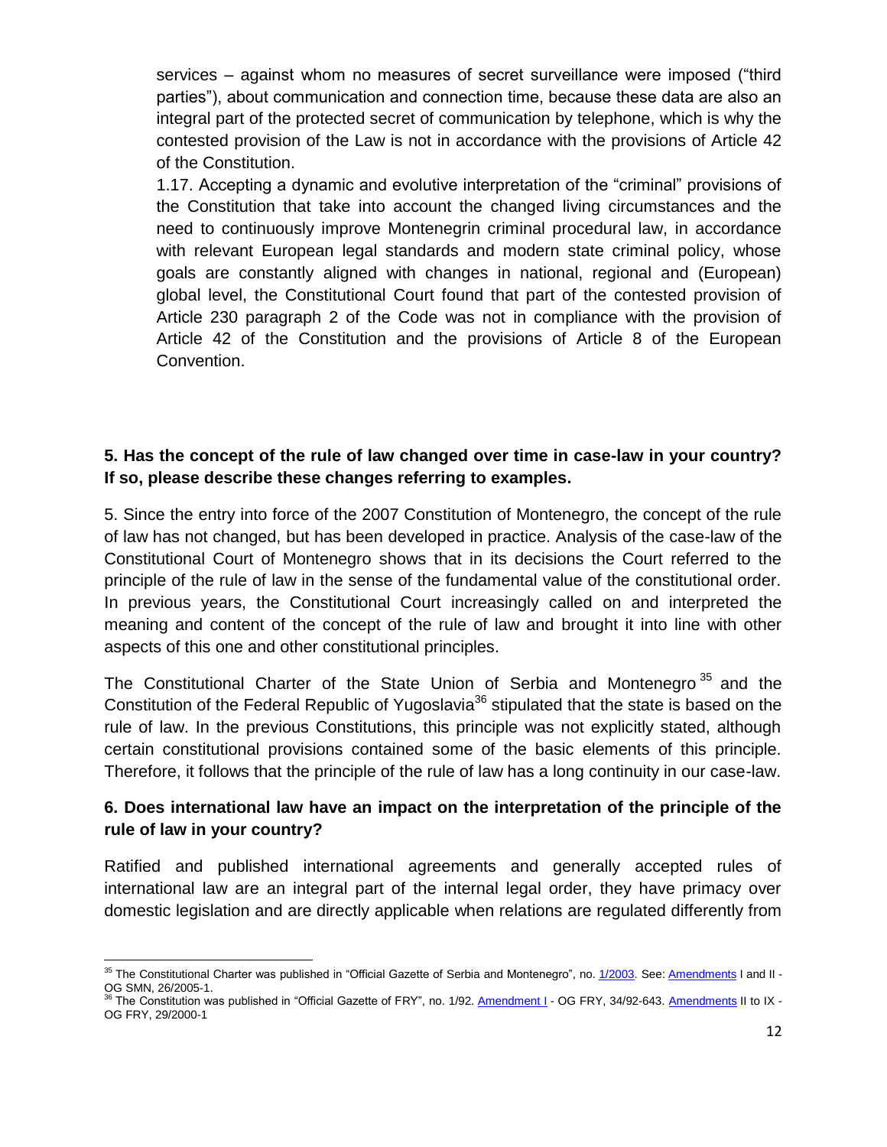services – against whom no measures of secret surveillance were imposed ("third parties"), about communication and connection time, because these data are also an integral part of the protected secret of communication by telephone, which is why the contested provision of the Law is not in accordance with the provisions of Article 42 of the Constitution.

1.17. Accepting a dynamic and evolutive interpretation of the "criminal" provisions of the Constitution that take into account the changed living circumstances and the need to continuously improve Montenegrin criminal procedural law, in accordance with relevant European legal standards and modern state criminal policy, whose goals are constantly aligned with changes in national, regional and (European) global level, the Constitutional Court found that part of the contested provision of Article 230 paragraph 2 of the Code was not in compliance with the provision of Article 42 of the Constitution and the provisions of Article 8 of the European Convention.

## **5. Has the concept of the rule of law changed over time in case-law in your country? If so, please describe these changes referring to examples.**

5. Since the entry into force of the 2007 Constitution of Montenegro, the concept of the rule of law has not changed, but has been developed in practice. Analysis of the case-law of the Constitutional Court of Montenegro shows that in its decisions the Court referred to the principle of the rule of law in the sense of the fundamental value of the constitutional order. In previous years, the Constitutional Court increasingly called on and interpreted the meaning and content of the concept of the rule of law and brought it into line with other aspects of this one and other constitutional principles.

The Constitutional Charter of the State Union of Serbia and Montenegro<sup>35</sup> and the Constitution of the Federal Republic of Yugoslavia<sup>36</sup> stipulated that the state is based on the rule of law. In the previous Constitutions, this principle was not explicitly stated, although certain constitutional provisions contained some of the basic elements of this principle. Therefore, it follows that the principle of the rule of law has a long continuity in our case-law.

## **6. Does international law have an impact on the interpretation of the principle of the rule of law in your country?**

Ratified and published international agreements and generally accepted rules of international law are an integral part of the internal legal order, they have primacy over domestic legislation and are directly applicable when relations are regulated differently from

l <sup>35</sup> The Constitutional Charter was published in "Official Gazette of Serbia and Montenegro", no. [1/2003.](javascript:void(0)) See: [Amendments](javascript:void(0)) I and II -OG SMN, 26/2005-1.

The Constitution was published in "Official Gazette of FRY", no. 1/92. [Amendment](javascript:void(0)) I - OG FRY, 34/92-643. [Amendments](javascript:void(0)) II to IX -OG FRY, 29/2000-1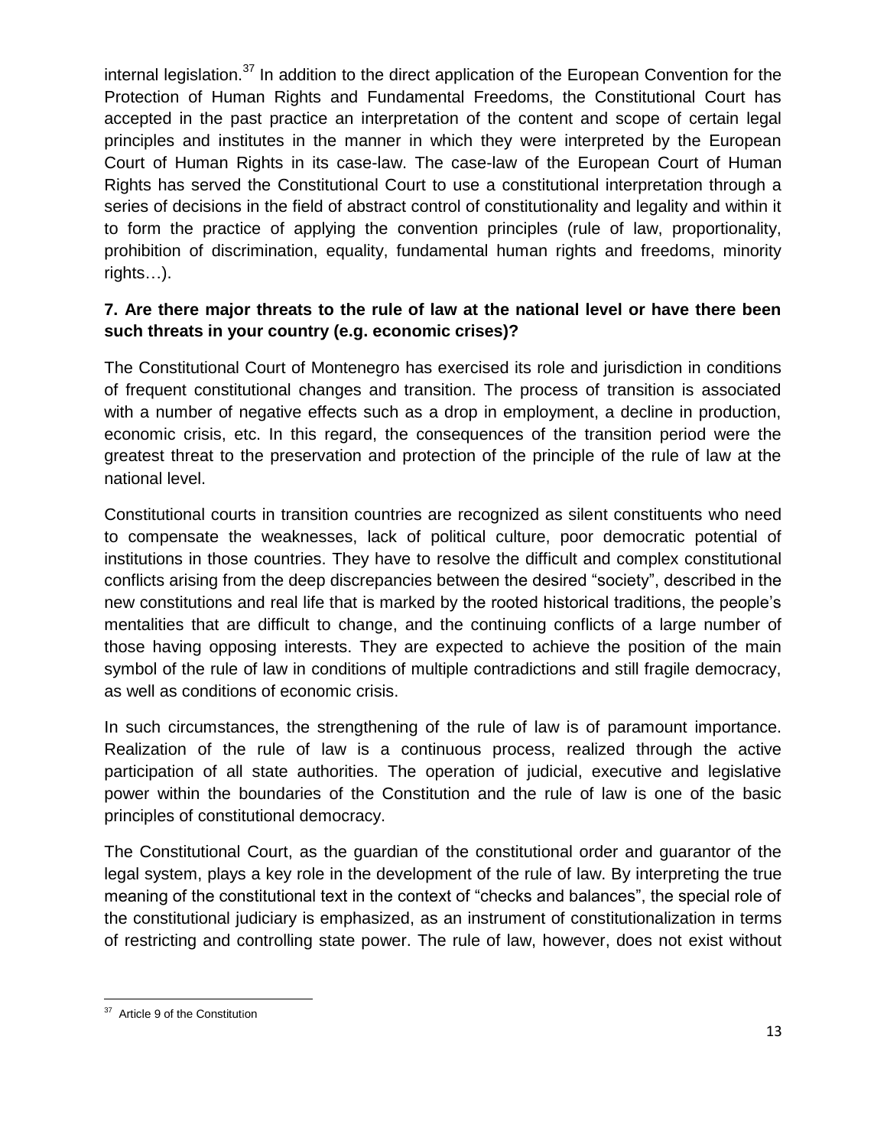internal legislation.<sup>37</sup> In addition to the direct application of the European Convention for the Protection of Human Rights and Fundamental Freedoms, the Constitutional Court has accepted in the past practice an interpretation of the content and scope of certain legal principles and institutes in the manner in which they were interpreted by the European Court of Human Rights in its case-law. The case-law of the European Court of Human Rights has served the Constitutional Court to use a constitutional interpretation through a series of decisions in the field of abstract control of constitutionality and legality and within it to form the practice of applying the convention principles (rule of law, proportionality, prohibition of discrimination, equality, fundamental human rights and freedoms, minority rights…).

## **7. Are there major threats to the rule of law at the national level or have there been such threats in your country (e.g. economic crises)?**

The Constitutional Court of Montenegro has exercised its role and jurisdiction in conditions of frequent constitutional changes and transition. The process of transition is associated with a number of negative effects such as a drop in employment, a decline in production, economic crisis, etc. In this regard, the consequences of the transition period were the greatest threat to the preservation and protection of the principle of the rule of law at the national level.

Constitutional courts in transition countries are recognized as silent constituents who need to compensate the weaknesses, lack of political culture, poor democratic potential of institutions in those countries. They have to resolve the difficult and complex constitutional conflicts arising from the deep discrepancies between the desired "society", described in the new constitutions and real life that is marked by the rooted historical traditions, the people"s mentalities that are difficult to change, and the continuing conflicts of a large number of those having opposing interests. They are expected to achieve the position of the main symbol of the rule of law in conditions of multiple contradictions and still fragile democracy, as well as conditions of economic crisis.

In such circumstances, the strengthening of the rule of law is of paramount importance. Realization of the rule of law is a continuous process, realized through the active participation of all state authorities. The operation of judicial, executive and legislative power within the boundaries of the Constitution and the rule of law is one of the basic principles of constitutional democracy.

The Constitutional Court, as the guardian of the constitutional order and guarantor of the legal system, plays a key role in the development of the rule of law. By interpreting the true meaning of the constitutional text in the context of "checks and balances", the special role of the constitutional judiciary is emphasized, as an instrument of constitutionalization in terms of restricting and controlling state power. The rule of law, however, does not exist without

 37 Article 9 of the Constitution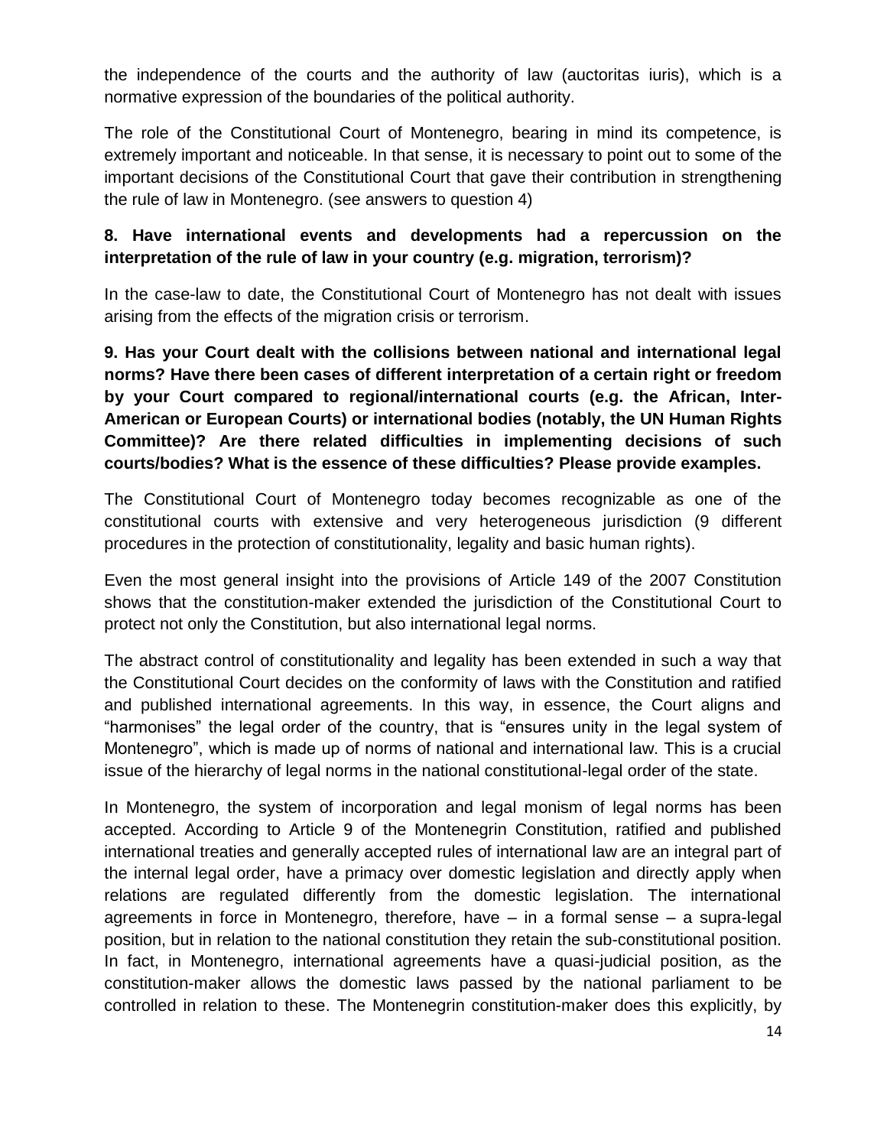the independence of the courts and the authority of law (auctoritas iuris), which is a normative expression of the boundaries of the political authority.

The role of the Constitutional Court of Montenegro, bearing in mind its competence, is extremely important and noticeable. In that sense, it is necessary to point out to some of the important decisions of the Constitutional Court that gave their contribution in strengthening the rule of law in Montenegro. (see answers to question 4)

## **8. Have international events and developments had a repercussion on the interpretation of the rule of law in your country (e.g. migration, terrorism)?**

In the case-law to date, the Constitutional Court of Montenegro has not dealt with issues arising from the effects of the migration crisis or terrorism.

**9. Has your Court dealt with the collisions between national and international legal norms? Have there been cases of different interpretation of a certain right or freedom by your Court compared to regional/international courts (e.g. the African, Inter-American or European Courts) or international bodies (notably, the UN Human Rights Committee)? Are there related difficulties in implementing decisions of such courts/bodies? What is the essence of these difficulties? Please provide examples.**

The Constitutional Court of Montenegro today becomes recognizable as one of the constitutional courts with extensive and very heterogeneous jurisdiction (9 different procedures in the protection of constitutionality, legality and basic human rights).

Even the most general insight into the provisions of Article 149 of the 2007 Constitution shows that the constitution-maker extended the jurisdiction of the Constitutional Court to protect not only the Constitution, but also international legal norms.

The abstract control of constitutionality and legality has been extended in such a way that the Constitutional Court decides on the conformity of laws with the Constitution and ratified and published international agreements. In this way, in essence, the Court aligns and "harmonises" the legal order of the country, that is "ensures unity in the legal system of Montenegro", which is made up of norms of national and international law. This is a crucial issue of the hierarchy of legal norms in the national constitutional-legal order of the state.

In Montenegro, the system of incorporation and legal monism of legal norms has been accepted. According to Article 9 of the Montenegrin Constitution, ratified and published international treaties and generally accepted rules of international law are an integral part of the internal legal order, have a primacy over domestic legislation and directly apply when relations are regulated differently from the domestic legislation. The international agreements in force in Montenegro, therefore, have – in a formal sense – a supra-legal position, but in relation to the national constitution they retain the sub-constitutional position. In fact, in Montenegro, international agreements have a quasi-judicial position, as the constitution-maker allows the domestic laws passed by the national parliament to be controlled in relation to these. The Montenegrin constitution-maker does this explicitly, by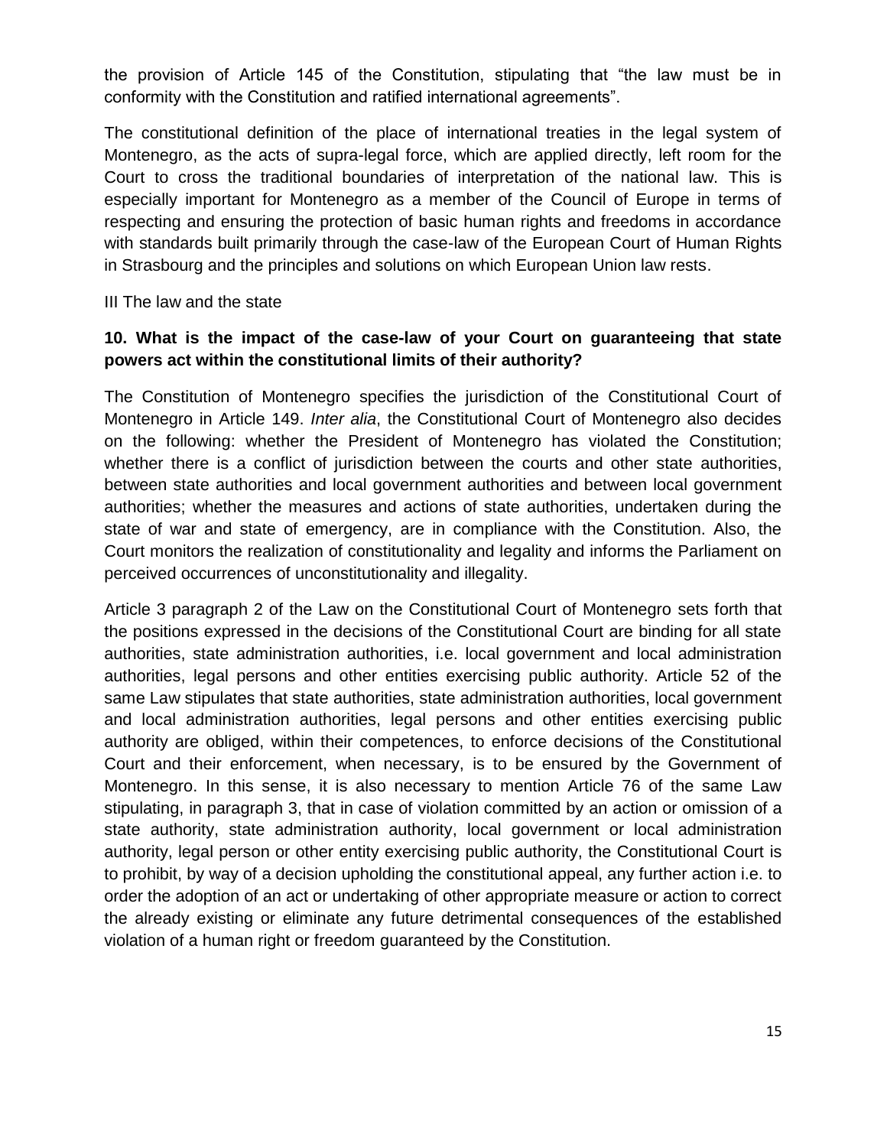the provision of Article 145 of the Constitution, stipulating that "the law must be in conformity with the Constitution and ratified international agreements".

The constitutional definition of the place of international treaties in the legal system of Montenegro, as the acts of supra-legal force, which are applied directly, left room for the Court to cross the traditional boundaries of interpretation of the national law. This is especially important for Montenegro as a member of the Council of Europe in terms of respecting and ensuring the protection of basic human rights and freedoms in accordance with standards built primarily through the case-law of the European Court of Human Rights in Strasbourg and the principles and solutions on which European Union law rests.

III The law and the state

## **10. What is the impact of the case-law of your Court on guaranteeing that state powers act within the constitutional limits of their authority?**

The Constitution of Montenegro specifies the jurisdiction of the Constitutional Court of Montenegro in Article 149. *Inter alia*, the Constitutional Court of Montenegro also decides on the following: whether the President of Montenegro has violated the Constitution; whether there is a conflict of jurisdiction between the courts and other state authorities, between state authorities and local government authorities and between local government authorities; whether the measures and actions of state authorities, undertaken during the state of war and state of emergency, are in compliance with the Constitution. Also, the Court monitors the realization of constitutionality and legality and informs the Parliament on perceived occurrences of unconstitutionality and illegality.

Article 3 paragraph 2 of the Law on the Constitutional Court of Montenegro sets forth that the positions expressed in the decisions of the Constitutional Court are binding for all state authorities, state administration authorities, i.e. local government and local administration authorities, legal persons and other entities exercising public authority. Article 52 of the same Law stipulates that state authorities, state administration authorities, local government and local administration authorities, legal persons and other entities exercising public authority are obliged, within their competences, to enforce decisions of the Constitutional Court and their enforcement, when necessary, is to be ensured by the Government of Montenegro. In this sense, it is also necessary to mention Article 76 of the same Law stipulating, in paragraph 3, that in case of violation committed by an action or omission of a state authority, state administration authority, local government or local administration authority, legal person or other entity exercising public authority, the Constitutional Court is to prohibit, by way of a decision upholding the constitutional appeal, any further action i.e. to order the adoption of an act or undertaking of other appropriate measure or action to correct the already existing or eliminate any future detrimental consequences of the established violation of a human right or freedom guaranteed by the Constitution.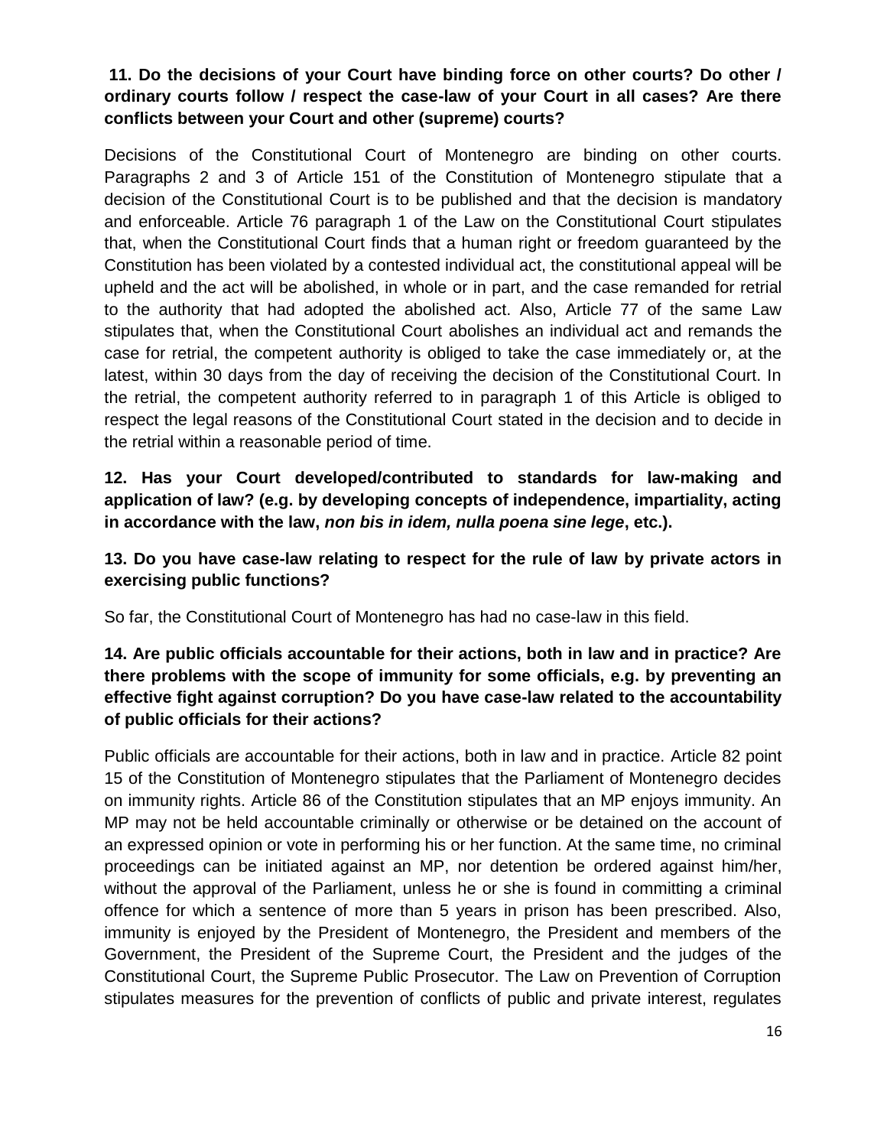## **11. Do the decisions of your Court have binding force on other courts? Do other / ordinary courts follow / respect the case-law of your Court in all cases? Are there conflicts between your Court and other (supreme) courts?**

Decisions of the Constitutional Court of Montenegro are binding on other courts. Paragraphs 2 and 3 of Article 151 of the Constitution of Montenegro stipulate that a decision of the Constitutional Court is to be published and that the decision is mandatory and enforceable. Article 76 paragraph 1 of the Law on the Constitutional Court stipulates that, when the Constitutional Court finds that a human right or freedom guaranteed by the Constitution has been violated by a contested individual act, the constitutional appeal will be upheld and the act will be abolished, in whole or in part, and the case remanded for retrial to the authority that had adopted the abolished act. Also, Article 77 of the same Law stipulates that, when the Constitutional Court abolishes an individual act and remands the case for retrial, the competent authority is obliged to take the case immediately or, at the latest, within 30 days from the day of receiving the decision of the Constitutional Court. In the retrial, the competent authority referred to in paragraph 1 of this Article is obliged to respect the legal reasons of the Constitutional Court stated in the decision and to decide in the retrial within a reasonable period of time.

**12. Has your Court developed/contributed to standards for law-making and application of law? (e.g. by developing concepts of independence, impartiality, acting in accordance with the law,** *non bis in idem, nulla poena sine lege***, etc.).**

## **13. Do you have case-law relating to respect for the rule of law by private actors in exercising public functions?**

So far, the Constitutional Court of Montenegro has had no case-law in this field.

## **14. Are public officials accountable for their actions, both in law and in practice? Are there problems with the scope of immunity for some officials, e.g. by preventing an effective fight against corruption? Do you have case-law related to the accountability of public officials for their actions?**

Public officials are accountable for their actions, both in law and in practice. Article 82 point 15 of the Constitution of Montenegro stipulates that the Parliament of Montenegro decides on immunity rights. Article 86 of the Constitution stipulates that an MP enjoys immunity. An MP may not be held accountable criminally or otherwise or be detained on the account of an expressed opinion or vote in performing his or her function. At the same time, no criminal proceedings can be initiated against an MP, nor detention be ordered against him/her, without the approval of the Parliament, unless he or she is found in committing a criminal offence for which a sentence of more than 5 years in prison has been prescribed. Also, immunity is enjoyed by the President of Montenegro, the President and members of the Government, the President of the Supreme Court, the President and the judges of the Constitutional Court, the Supreme Public Prosecutor. The Law on Prevention of Corruption stipulates measures for the prevention of conflicts of public and private interest, regulates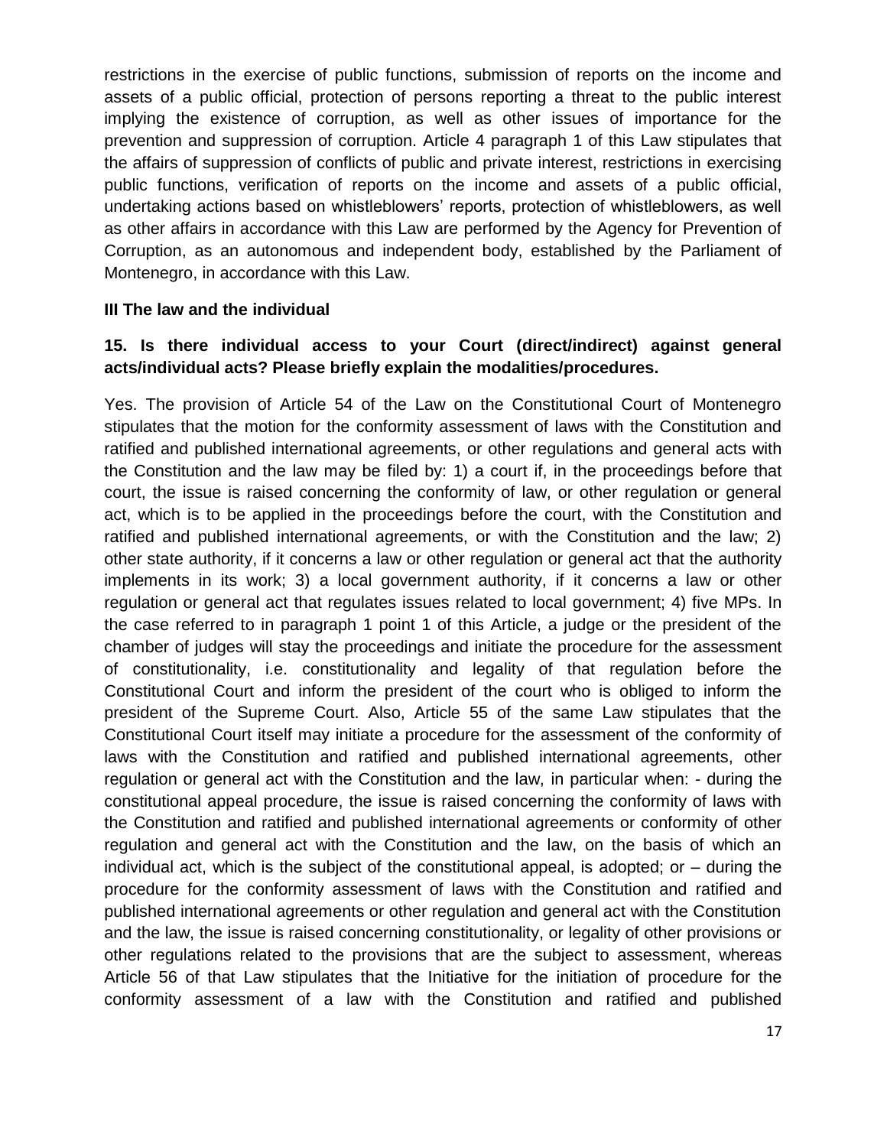restrictions in the exercise of public functions, submission of reports on the income and assets of a public official, protection of persons reporting a threat to the public interest implying the existence of corruption, as well as other issues of importance for the prevention and suppression of corruption. Article 4 paragraph 1 of this Law stipulates that the affairs of suppression of conflicts of public and private interest, restrictions in exercising public functions, verification of reports on the income and assets of a public official, undertaking actions based on whistleblowers" reports, protection of whistleblowers, as well as other affairs in accordance with this Law are performed by the Agency for Prevention of Corruption, as an autonomous and independent body, established by the Parliament of Montenegro, in accordance with this Law.

#### **III The law and the individual**

## **15. Is there individual access to your Court (direct/indirect) against general acts/individual acts? Please briefly explain the modalities/procedures.**

Yes. The provision of Article 54 of the Law on the Constitutional Court of Montenegro stipulates that the motion for the conformity assessment of laws with the Constitution and ratified and published international agreements, or other regulations and general acts with the Constitution and the law may be filed by: 1) a court if, in the proceedings before that court, the issue is raised concerning the conformity of law, or other regulation or general act, which is to be applied in the proceedings before the court, with the Constitution and ratified and published international agreements, or with the Constitution and the law; 2) other state authority, if it concerns a law or other regulation or general act that the authority implements in its work; 3) a local government authority, if it concerns a law or other regulation or general act that regulates issues related to local government; 4) five MPs. In the case referred to in paragraph 1 point 1 of this Article, a judge or the president of the chamber of judges will stay the proceedings and initiate the procedure for the assessment of constitutionality, i.e. constitutionality and legality of that regulation before the Constitutional Court and inform the president of the court who is obliged to inform the president of the Supreme Court. Also, Article 55 of the same Law stipulates that the Constitutional Court itself may initiate a procedure for the assessment of the conformity of laws with the Constitution and ratified and published international agreements, other regulation or general act with the Constitution and the law, in particular when: - during the constitutional appeal procedure, the issue is raised concerning the conformity of laws with the Constitution and ratified and published international agreements or conformity of other regulation and general act with the Constitution and the law, on the basis of which an individual act, which is the subject of the constitutional appeal, is adopted; or – during the procedure for the conformity assessment of laws with the Constitution and ratified and published international agreements or other regulation and general act with the Constitution and the law, the issue is raised concerning constitutionality, or legality of other provisions or other regulations related to the provisions that are the subject to assessment, whereas Article 56 of that Law stipulates that the Initiative for the initiation of procedure for the conformity assessment of a law with the Constitution and ratified and published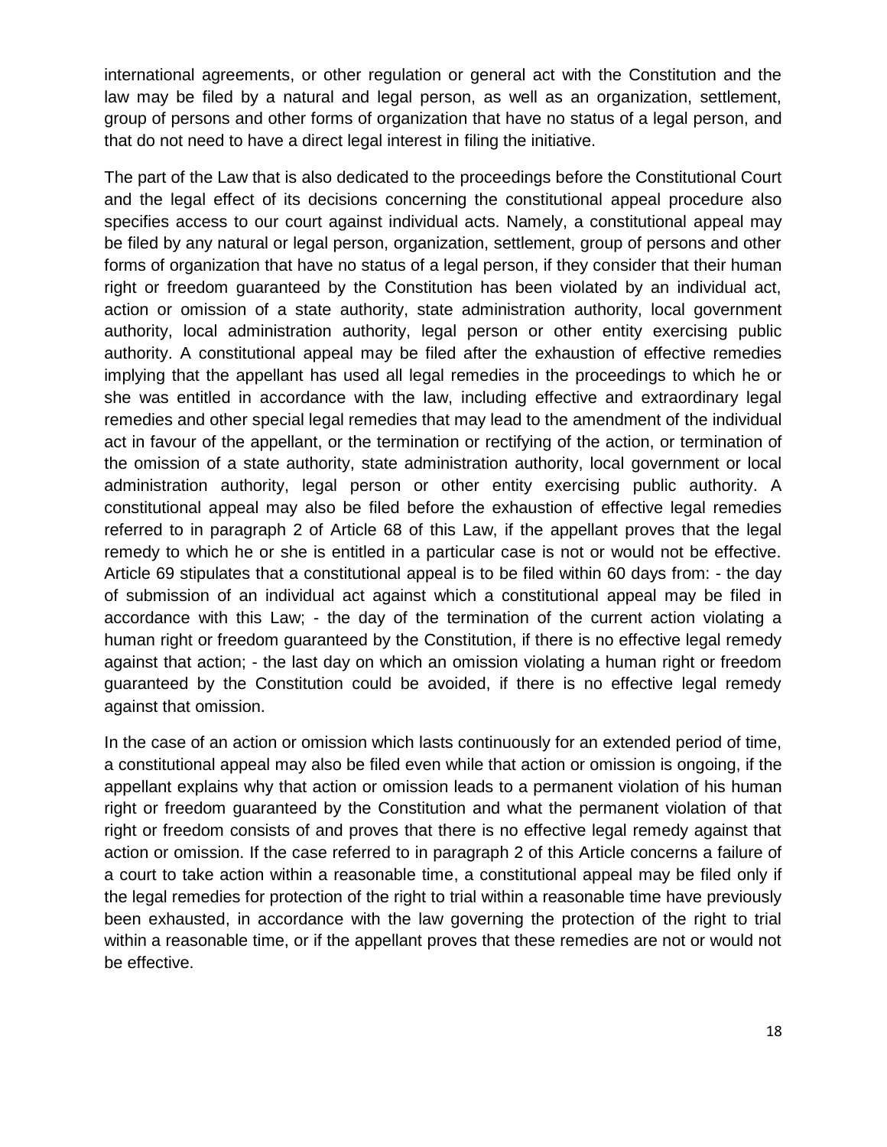international agreements, or other regulation or general act with the Constitution and the law may be filed by a natural and legal person, as well as an organization, settlement, group of persons and other forms of organization that have no status of a legal person, and that do not need to have a direct legal interest in filing the initiative.

The part of the Law that is also dedicated to the proceedings before the Constitutional Court and the legal effect of its decisions concerning the constitutional appeal procedure also specifies access to our court against individual acts. Namely, a constitutional appeal may be filed by any natural or legal person, organization, settlement, group of persons and other forms of organization that have no status of a legal person, if they consider that their human right or freedom guaranteed by the Constitution has been violated by an individual act, action or omission of a state authority, state administration authority, local government authority, local administration authority, legal person or other entity exercising public authority. A constitutional appeal may be filed after the exhaustion of effective remedies implying that the appellant has used all legal remedies in the proceedings to which he or she was entitled in accordance with the law, including effective and extraordinary legal remedies and other special legal remedies that may lead to the amendment of the individual act in favour of the appellant, or the termination or rectifying of the action, or termination of the omission of a state authority, state administration authority, local government or local administration authority, legal person or other entity exercising public authority. A constitutional appeal may also be filed before the exhaustion of effective legal remedies referred to in paragraph 2 of Article 68 of this Law, if the appellant proves that the legal remedy to which he or she is entitled in a particular case is not or would not be effective. Article 69 stipulates that a constitutional appeal is to be filed within 60 days from: - the day of submission of an individual act against which a constitutional appeal may be filed in accordance with this Law; - the day of the termination of the current action violating a human right or freedom guaranteed by the Constitution, if there is no effective legal remedy against that action; - the last day on which an omission violating a human right or freedom guaranteed by the Constitution could be avoided, if there is no effective legal remedy against that omission.

In the case of an action or omission which lasts continuously for an extended period of time, a constitutional appeal may also be filed even while that action or omission is ongoing, if the appellant explains why that action or omission leads to a permanent violation of his human right or freedom guaranteed by the Constitution and what the permanent violation of that right or freedom consists of and proves that there is no effective legal remedy against that action or omission. If the case referred to in paragraph 2 of this Article concerns a failure of a court to take action within a reasonable time, a constitutional appeal may be filed only if the legal remedies for protection of the right to trial within a reasonable time have previously been exhausted, in accordance with the law governing the protection of the right to trial within a reasonable time, or if the appellant proves that these remedies are not or would not be effective.